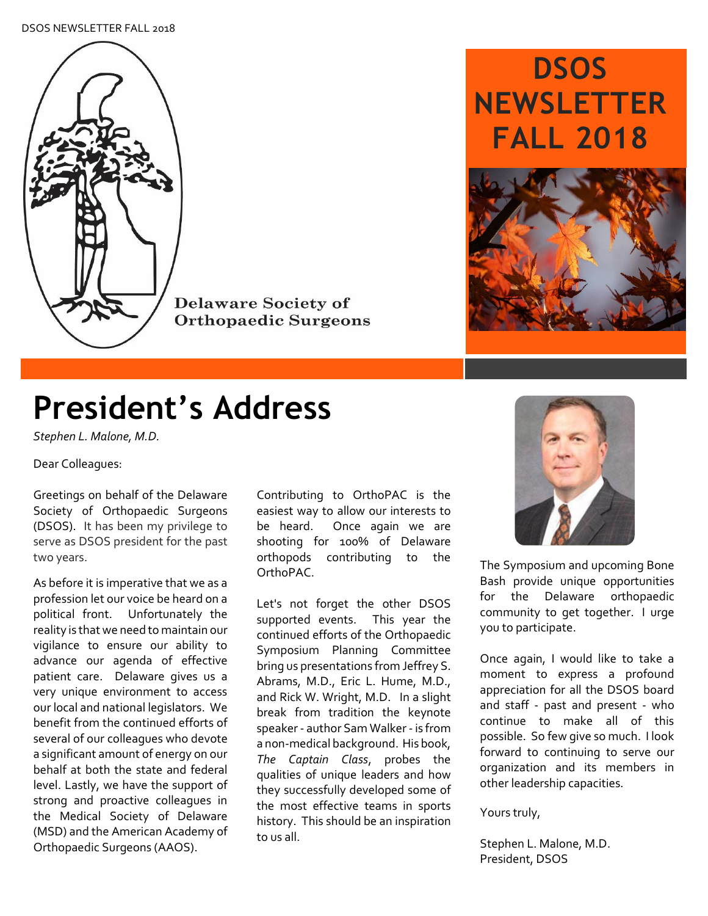#### DSOS NEWSLETTER FALL 2018



**Delaware Society of Orthopaedic Surgeons** 

# **DSOS NEWSLETTER FALL 2018**



# **President's Address**

*Stephen L. Malone, M.D.*

Dear Colleagues:

Greetings on behalf of the Delaware Society of Orthopaedic Surgeons (DSOS). It has been my privilege to serve as DSOS president for the past two years.

As before it is imperative that we as a profession let our voice be heard on a political front. Unfortunately the reality is that we need to maintain our vigilance to ensure our ability to advance our agenda of effective patient care. Delaware gives us a very unique environment to access our local and national legislators. We benefit from the continued efforts of several of our colleagues who devote a significant amount of energy on our behalf at both the state and federal level. Lastly, we have the support of strong and proactive colleagues in the Medical Society of Delaware (MSD) and the American Academy of Orthopaedic Surgeons (AAOS).

Contributing to OrthoPAC is the easiest way to allow our interests to be heard. Once again we are shooting for 100% of Delaware orthopods contributing to the OrthoPAC.

Let's not forget the other DSOS supported events. This year the continued efforts of the Orthopaedic Symposium Planning Committee bring us presentations from Jeffrey S. Abrams, M.D., Eric L. Hume, M.D., and Rick W. Wright, M.D. In a slight break from tradition the keynote speaker - author Sam Walker - is from a non-medical background. His book, *The Captain Class*, probes the qualities of unique leaders and how they successfully developed some of the most effective teams in sports history. This should be an inspiration to us all.



The Symposium and upcoming Bone Bash provide unique opportunities for the Delaware orthopaedic community to get together. I urge you to participate.

Once again, I would like to take a moment to express a profound appreciation for all the DSOS board and staff - past and present - who continue to make all of this possible. So few give so much. I look forward to continuing to serve our organization and its members in other leadership capacities.

Yours truly,

Stephen L. Malone, M.D. President, DSOS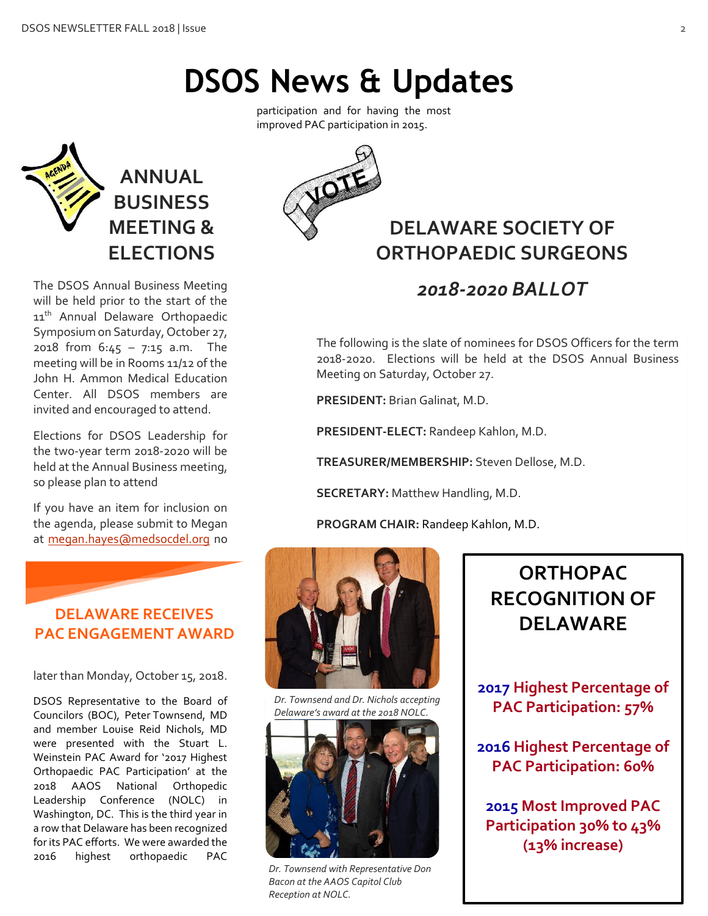# **ANNUAL BUSINESS MEETING & ELECTIONS**

The DSOS Annual Business Meeting will be held prior to the start of the 11<sup>th</sup> Annual Delaware Orthopaedic Symposium on Saturday, October 27, 2018 from 6:45 – 7:15 a.m. The meeting will be in Rooms 11/12 of the John H. Ammon Medical Education Center. All DSOS members are invited and encouraged to attend.

Elections for DSOS Leadership for the two-year term 2018-2020 will be held at the Annual Business meeting, so please plan to attend

If you have an item for inclusion on the agenda, please submit to Megan at [megan.hayes@medsocdel.org](mailto:megan.hayes@medsocdel.org) no

## **DELAWARE RECEIVES PAC ENGAGEMENT AWARD**

later than Monday, October 15, 2018.

DSOS Representative to the Board of Councilors (BOC), Peter Townsend, MD and member Louise Reid Nichols, MD were presented with the Stuart L. Weinstein PAC Award for '2017 Highest Orthopaedic PAC Participation' at the 2018 AAOS National Orthopedic Leadership Conference (NOLC) in Washington, DC. This is the third year in a row that Delaware has been recognized for its PAC efforts. We were awarded the 2016 highest orthopaedic PAC

participation and for having the most improved PAC participation in 2015.

**DSOS News & Updates**



# **DELAWARE SOCIETY OF ORTHOPAEDIC SURGEONS**

*2018-2020 BALLOT*

The following is the slate of nominees for DSOS Officers for the term 2018-2020. Elections will be held at the DSOS Annual Business Meeting on Saturday, October 27.

**PRESIDENT:** Brian Galinat, M.D.

**PRESIDENT-ELECT:** Randeep Kahlon, M.D.

**TREASURER/MEMBERSHIP:** Steven Dellose, M.D.

**SECRETARY:** Matthew Handling, M.D.

**PROGRAM CHAIR:** Randeep Kahlon, M.D.



*Dr. Townsend and Dr. Nichols accepting Delaware's award at the 2018 NOLC.*



*Dr. Townsend with Representative Don Bacon at the AAOS Capitol Club Reception at NOLC.*

**ORTHOPAC RECOGNITION OF DELAWARE**

**2017 Highest Percentage of PAC Participation: 57%**

**2016 Highest Percentage of PAC Participation: 60%**

**2015 Most Improved PAC Participation 30% to 43% (13% increase)**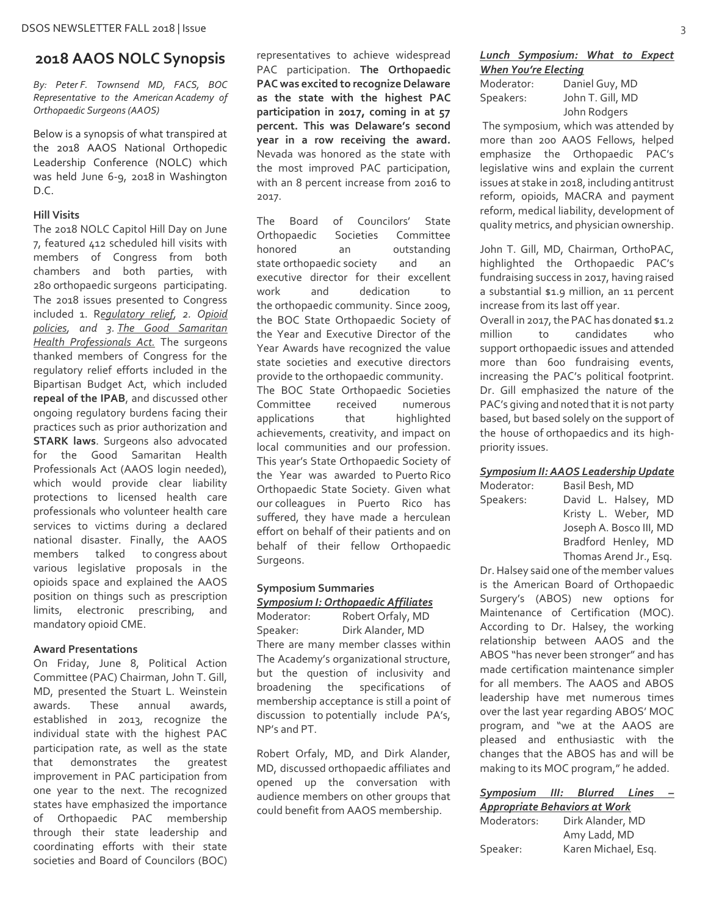### **2018 AAOS NOLC Synopsis**

*By: Peter F. Townsend MD, FACS, BOC Representative to the American Academy of Orthopaedic Surgeons (AAOS)*

Below is a synopsis of what transpired at the 2018 AAOS National Orthopedic Leadership Conference (NOLC) which was held June 6-9, 2018 in Washington D.C.

#### **Hill Visits**

The 2018 NOLC Capitol Hill Day on June 7, featured 412 scheduled hill visits with members of Congress from both chambers and both parties, with 280 orthopaedic surgeons participating. The 2018 issues presented to Congress included 1. R*egulatory relief, 2. Opioid policies, and 3. The Good Samaritan Health Professionals Act.* The surgeons thanked members of Congress for the regulatory relief efforts included in the Bipartisan Budget Act, which included **repeal of the IPAB**, and discussed other ongoing regulatory burdens facing their practices such as prior authorization and **STARK laws**. Surgeons also advocated for the Good Samaritan Health Professionals Act (AAOS login needed), which would provide clear liability protections to licensed health care professionals who volunteer health care services to victims during a declared national disaster. Finally, the AAOS members talked to congress about various legislative proposals in the opioids space and explained the AAOS position on things such as prescription limits, electronic prescribing, and mandatory opioid CME.

#### **Award Presentations**

On Friday, June 8, Political Action Committee (PAC) Chairman, John T. Gill, MD, presented the Stuart L. Weinstein awards. These annual awards, established in 2013, recognize the individual state with the highest PAC participation rate, as well as the state that demonstrates the greatest improvement in PAC participation from one year to the next. The recognized states have emphasized the importance of Orthopaedic PAC membership through their state leadership and coordinating efforts with their state societies and Board of Councilors (BOC) representatives to achieve widespread PAC participation. **The Orthopaedic PAC was excited to recognize Delaware as the state with the highest PAC participation in 2017, coming in at 57 percent. This was Delaware's second year in a row receiving the award.** Nevada was honored as the state with the most improved PAC participation, with an 8 percent increase from 2016 to 2017.

The Board of Councilors' State Orthopaedic Societies Committee honored an outstanding state orthopaedic society and an executive director for their excellent work and dedication to the orthopaedic community. Since 2009, the BOC State Orthopaedic Society of the Year and Executive Director of the Year Awards have recognized the value state societies and executive directors provide to the orthopaedic community. The BOC State Orthopaedic Societies Committee received numerous applications that highlighted achievements, creativity, and impact on local communities and our profession. This year's State Orthopaedic Society of the Year was awarded to Puerto Rico Orthopaedic State Society. Given what our colleagues in Puerto Rico has suffered, they have made a herculean effort on behalf of their patients and on behalf of their fellow Orthopaedic Surgeons.

## **Symposium Summaries**

## *Symposium I: Orthopaedic Affiliates*

Moderator: Robert Orfaly, MD Speaker: Dirk Alander, MD There are many member classes within The Academy's organizational structure, but the question of inclusivity and broadening the specifications of membership acceptance is still a point of discussion to potentially include PA's, NP's and PT.

Robert Orfaly, MD, and Dirk Alander, MD, discussed orthopaedic affiliates and opened up the conversation with audience members on other groups that could benefit from AAOS membership.

#### *Lunch Symposium: What to Expect When You're Electing*

Moderator: Daniel Guy, MD Speakers: John T. Gill, MD John Rodgers

The symposium, which was attended by more than 200 AAOS Fellows, helped emphasize the Orthopaedic PAC's legislative wins and explain the current issues at stake in 2018, including antitrust reform, opioids, MACRA and payment reform, medical liability, development of quality metrics, and physician ownership.

John T. Gill, MD, Chairman, OrthoPAC, highlighted the Orthopaedic PAC's fundraising success in 2017, having raised a substantial \$1.9 million, an 11 percent increase from its last off year.

Overall in 2017, the PAC has donated \$1.2 million to candidates who support orthopaedic issues and attended more than 600 fundraising events, increasing the PAC's political footprint. Dr. Gill emphasized the nature of the PAC's giving and noted that it is not party based, but based solely on the support of the house of orthopaedics and its highpriority issues.

#### *Symposium II: AAOS Leadership Update*

| Moderator: | Basil Besh, MD |                         |  |
|------------|----------------|-------------------------|--|
| Speakers:  |                | David L. Halsey, MD     |  |
|            |                | Kristy L. Weber, MD     |  |
|            |                | Joseph A. Bosco III, MD |  |
|            |                | Bradford Henley, MD     |  |
|            |                | Thomas Arend Jr., Esq.  |  |
|            |                |                         |  |

Dr. Halsey said one of the member values is the American Board of Orthopaedic Surgery's (ABOS) new options for Maintenance of Certification (MOC). According to Dr. Halsey, the working relationship between AAOS and the ABOS "has never been stronger" and has made certification maintenance simpler for all members. The AAOS and ABOS leadership have met numerous times over the last year regarding ABOS' MOC program, and "we at the AAOS are pleased and enthusiastic with the changes that the ABOS has and will be making to its MOC program," he added.

#### *Symposium III: Blurred Lines – Appropriate Behaviors at Work*

|             | --------- --- -- -- |  |
|-------------|---------------------|--|
| Moderators: | Dirk Alander, MD    |  |
|             | Amy Ladd, MD        |  |
| Speaker:    | Karen Michael, Esq. |  |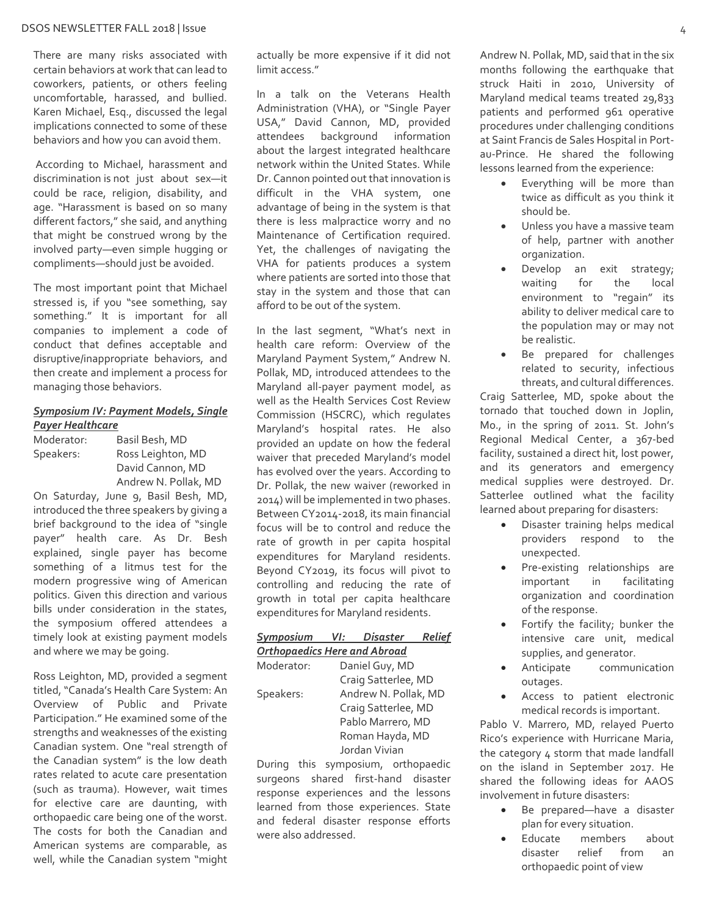#### DSOS NEWSLETTER FALL 2018 | Issue 4

There are many risks associated with certain behaviors at work that can lead to coworkers, patients, or others feeling uncomfortable, harassed, and bullied. Karen Michael, Esq., discussed the legal implications connected to some of these behaviors and how you can avoid them.

According to Michael, harassment and discrimination is not just about sex—it could be race, religion, disability, and age. "Harassment is based on so many different factors," she said, and anything that might be construed wrong by the involved party—even simple hugging or compliments—should just be avoided.

The most important point that Michael stressed is, if you "see something, say something." It is important for all companies to implement a code of conduct that defines acceptable and disruptive/inappropriate behaviors, and then create and implement a process for managing those behaviors.

#### *Symposium IV: Payment Models, Single Payer Healthcare*

| Moderator: | Basil Besh, MD       |
|------------|----------------------|
| Speakers:  | Ross Leighton, MD    |
|            | David Cannon, MD     |
|            | Andrew N. Pollak, MD |

On Saturday, June 9, Basil Besh, MD, introduced the three speakers by giving a brief background to the idea of "single payer" health care. As Dr. Besh explained, single payer has become something of a litmus test for the modern progressive wing of American politics. Given this direction and various bills under consideration in the states, the symposium offered attendees a timely look at existing payment models and where we may be going.

Ross Leighton, MD, provided a segment titled, "Canada's Health Care System: An Overview of Public and Private Participation." He examined some of the strengths and weaknesses of the existing Canadian system. One "real strength of the Canadian system" is the low death rates related to acute care presentation (such as trauma). However, wait times for elective care are daunting, with orthopaedic care being one of the worst. The costs for both the Canadian and American systems are comparable, as well, while the Canadian system "might

actually be more expensive if it did not limit access."

In a talk on the Veterans Health Administration (VHA), or "Single Payer USA," David Cannon, MD, provided attendees background information about the largest integrated healthcare network within the United States. While Dr. Cannon pointed out that innovation is difficult in the VHA system, one advantage of being in the system is that there is less malpractice worry and no Maintenance of Certification required. Yet, the challenges of navigating the VHA for patients produces a system where patients are sorted into those that stay in the system and those that can afford to be out of the system.

In the last segment, "What's next in health care reform: Overview of the Maryland Payment System," Andrew N. Pollak, MD, introduced attendees to the Maryland all-payer payment model, as well as the Health Services Cost Review Commission (HSCRC), which regulates Maryland's hospital rates. He also provided an update on how the federal waiver that preceded Maryland's model has evolved over the years. According to Dr. Pollak, the new waiver (reworked in 2014) will be implemented in two phases. Between CY2014-2018, its main financial focus will be to control and reduce the rate of growth in per capita hospital expenditures for Maryland residents. Beyond CY2019, its focus will pivot to controlling and reducing the rate of growth in total per capita healthcare expenditures for Maryland residents.

#### *Symposium VI: Disaster Relief Orthopaedics Here and Abroad*

| Moderator: | Daniel Guy, MD       |
|------------|----------------------|
|            | Craig Satterlee, MD  |
| Speakers:  | Andrew N. Pollak, MD |
|            | Craig Satterlee, MD  |
|            | Pablo Marrero, MD    |
|            | Roman Hayda, MD      |
|            | Jordan Vivian        |
|            |                      |

During this symposium, orthopaedic surgeons shared first-hand disaster response experiences and the lessons learned from those experiences. State and federal disaster response efforts were also addressed.

Andrew N. Pollak, MD, said that in the six months following the earthquake that struck Haiti in 2010, University of Maryland medical teams treated 29,833 patients and performed 961 operative procedures under challenging conditions at Saint Francis de Sales Hospital in Portau-Prince. He shared the following lessons learned from the experience:

- Everything will be more than twice as difficult as you think it should be.
- Unless you have a massive team of help, partner with another organization.
- Develop an exit strategy; waiting for the local environment to "regain" its ability to deliver medical care to the population may or may not be realistic.
- Be prepared for challenges related to security, infectious threats, and cultural differences.

Craig Satterlee, MD, spoke about the tornado that touched down in Joplin, Mo., in the spring of 2011. St. John's Regional Medical Center, a 367-bed facility, sustained a direct hit, lost power, and its generators and emergency medical supplies were destroyed. Dr. Satterlee outlined what the facility learned about preparing for disasters:

- Disaster training helps medical providers respond to the unexpected.
- Pre-existing relationships are important in facilitating organization and coordination of the response.
- Fortify the facility; bunker the intensive care unit, medical supplies, and generator.
- Anticipate communication outages.
- Access to patient electronic medical records is important.

Pablo V. Marrero, MD, relayed Puerto Rico's experience with Hurricane Maria, the category 4 storm that made landfall on the island in September 2017. He shared the following ideas for AAOS involvement in future disasters:

- Be prepared—have a disaster plan for every situation.
- Educate members about disaster relief from an orthopaedic point of view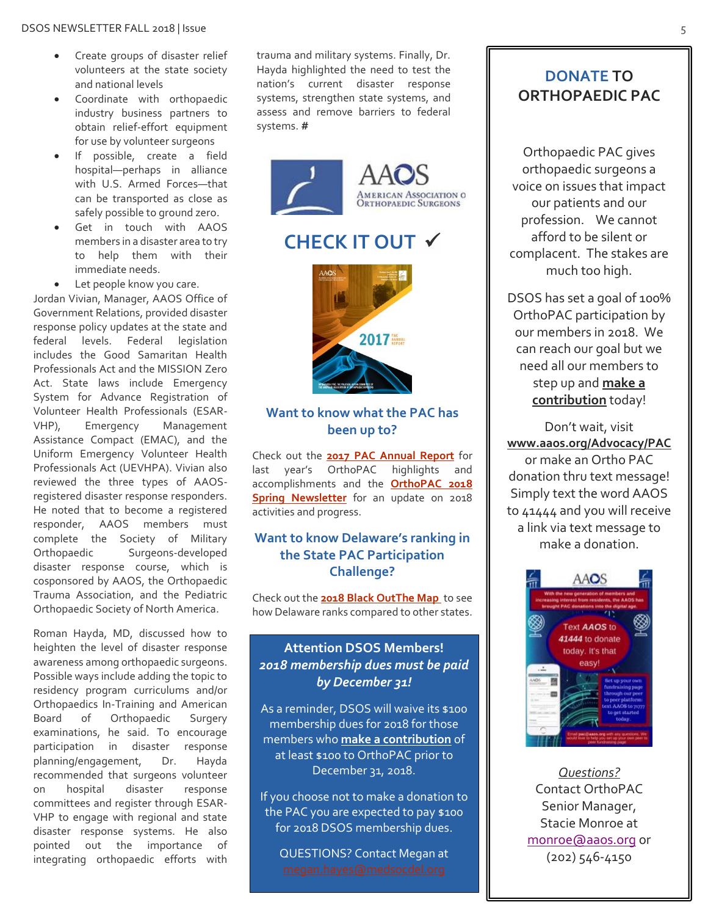- Create groups of disaster relief volunteers at the state society and national levels
- Coordinate with orthopaedic industry business partners to obtain relief-effort equipment for use by volunteer surgeons
- If possible, create a field hospital—perhaps in alliance with U.S. Armed Forces—that can be transported as close as safely possible to ground zero.
- Get in touch with AAOS members in a disaster area to try to help them with their immediate needs.
- Let people know you care.

Jordan Vivian, Manager, AAOS Office of Government Relations, provided disaster response policy updates at the state and federal levels. Federal legislation includes the Good Samaritan Health Professionals Act and the MISSION Zero Act. State laws include Emergency System for Advance Registration of Volunteer Health Professionals (ESAR-VHP), Emergency Management Assistance Compact (EMAC), and the Uniform Emergency Volunteer Health Professionals Act (UEVHPA). Vivian also reviewed the three types of AAOSregistered disaster response responders. He noted that to become a registered responder, AAOS members must complete the Society of Military Orthopaedic Surgeons-developed disaster response course, which is cosponsored by AAOS, the Orthopaedic Trauma Association, and the Pediatric Orthopaedic Society of North America.

Roman Hayda, MD, discussed how to heighten the level of disaster response awareness among orthopaedic surgeons. Possible ways include adding the topic to residency program curriculums and/or Orthopaedics In-Training and American Board of Orthopaedic Surgery examinations, he said. To encourage participation in disaster response planning/engagement, Dr. Hayda recommended that surgeons volunteer on hospital disaster response committees and register through ESAR-VHP to engage with regional and state disaster response systems. He also pointed out the importance of integrating orthopaedic efforts with

trauma and military systems. Finally, Dr. Hayda highlighted the need to test the nation's current disaster response systems, strengthen state systems, and assess and remove barriers to federal systems. **#**



## **CHECK IT OUT**



### **Want to know what the PAC has been up to?**

Check out the **[2017 PAC Annual Report](https://www.aaos.org/uploadedFiles/PreProduction/Advocacy/PAC/Require_Login/FINAL%20AAOS%20PAC%20Annual%20Report.pdf)** for last year's OrthoPAC highlights and accomplishments and the **[OrthoPAC 2018](https://pwrnewmedia.com/2018/aaos/pac/spring/) Spring [Newsletter](https://pwrnewmedia.com/2018/aaos/pac/spring/)** for an update on 2018 activities and progress.

#### **Want to know Delaware's ranking in the State PAC Participation Challenge?**

Check out the **[2018 Black OutThe Map](http://digital-enews.com/aaos/2018/black_out_the_map/pages/fundraising-map.html)** to see how Delaware ranks compared to other states.

### **Attention DSOS Members!** *2018 membership dues must be paid by December 31!*

As a reminder, DSOS will waive its \$100 membership dues for 2018 for those members who **[make a contribution](http://www.aaos.org/Advocacy/PAC/?ssopc=1)** of at least \$100 to OrthoPAC prior to December 31, 2018.

If you choose not to make a donation to the PAC you are expected to pay \$100 for 2018 DSOS membership dues.

QUESTIONS? Contact Megan at

### **DONATE TO ORTHOPAEDIC PAC**

Orthopaedic PAC gives orthopaedic surgeons a voice on issues that impact our patients and our profession. We cannot afford to be silent or complacent. The stakes are much too high.

DSOS has set a goal of 100% OrthoPAC participation by our members in 2018. We can reach our goal but we need all our members to step up and **[make a](http://www.aaos.org/Advocacy/PAC/?ssopc=1)  [contribution](http://www.aaos.org/Advocacy/PAC/?ssopc=1)** today!

Don't wait, visit **[www.aaos.org/Advocacy/PAC](http://www.aaos.org/Advocacy/PAC)** or make an Ortho PAC donation thru text message! Simply text the word AAOS to 41444 and you will receive a link via text message to make a donation.



*Questions?* Contact OrthoPAC Senior Manager, Stacie Monroe at [monroe@aaos.org](mailto:monroe@aaos.org) or (202) 546-4150

*ROLLING! [THE STATE]*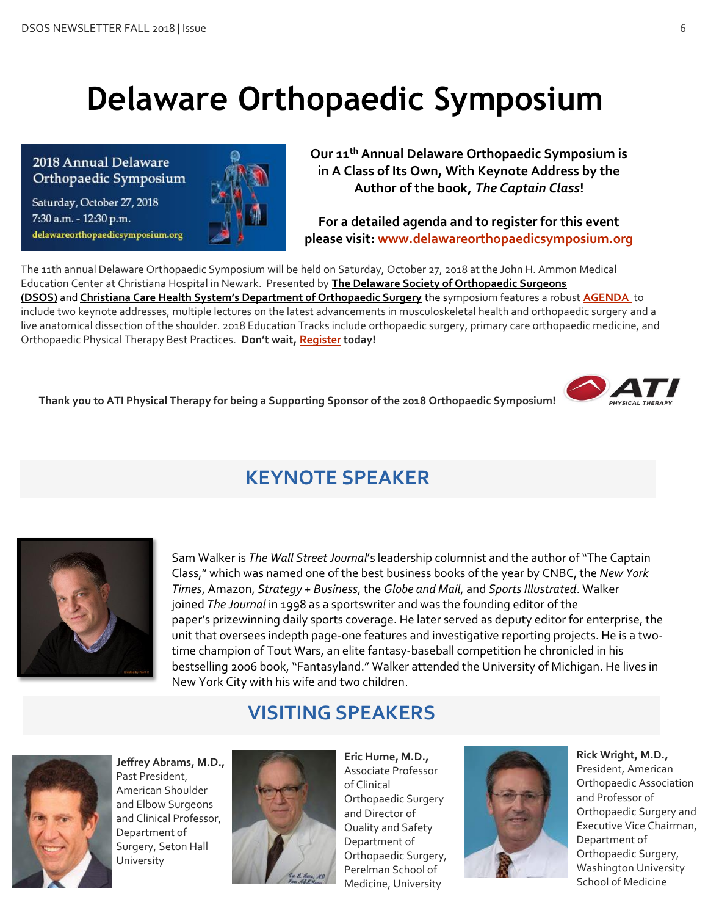# **Delaware Orthopaedic Symposium**

Saturday, October 27, 2018 7:30 a.m. - 12:30 p.m. delawareorthopaedicsymposium.org



al Delaware **Communist Cour 11<sup>th</sup> Annual Delaware Orthopaedic Symposium is al Delaware of the Symposium is all Delaware of the Symposium is all Delaware of the Symposium is an annual Delaware Orthopaedic Symposium is an a in A Class of Its Own, With Keynote Address by the Author of the book,** *The Captain Class***!**

> **For a detailed agenda and to register for this event please visit[: www.delawareorthopaedicsymposium.org](http://www.delawareorthopaedicsymposium.org/)**

The 11th annual Delaware Orthopaedic Symposium will be held on Saturday, October 27, 2018 at the John H. Ammon Medical Education Center at Christiana Hospital in Newark. Presented by **[The Delaware Society of Orthopaedic Surgeons](http://statesociety.aaos.org/delaware)  [\(DSOS\)](http://statesociety.aaos.org/delaware)** and **[Christiana Care Health System's Department of Orthopaedic Surgery](http://www.christianacare.org/orthopaedics)** the symposium features a robust **[AGENDA](http://www.delawareorthopaedicsymposium.org/agenda-2018/)** to include two keynote addresses, multiple lectures on the latest advancements in musculoskeletal health and orthopaedic surgery and a live anatomical dissection of the shoulder. 2018 Education Tracks include orthopaedic surgery, primary care orthopaedic medicine, and Orthopaedic Physical Therapy Best Practices. **Don't wait, [Register](http://www.delawareorthopaedicsymposium.org/register/) today!**

**Thank you to ATI Physical Therapy for being a Supporting Sponsor of the 2018 Orthopaedic Symposium!**



# **KEYNOTE SPEAKER**



Sam Walker is *The Wall Street Journal*'s leadership columnist and the author of "The Captain Class," which was named one of the best business books of the year by CNBC, the *New York Times*, Amazon, *Strategy + Business*, the *Globe and Mail*, and *Sports Illustrated*. Walker joined *The Journal* in 1998 as a sportswriter and was the founding editor of the paper's prizewinning daily sports coverage. He later served as deputy editor for enterprise, the unit that oversees indepth page-one features and investigative reporting projects. He is a twotime champion of Tout Wars, an elite fantasy-baseball competition he chronicled in his bestselling 2006 book, "Fantasyland." Walker attended the University of Michigan. He lives in New York City with his wife and two children.

## **VISITING SPEAKERS**



**Jeffrey Abrams, M.D.,** Past President, American Shoulder and Elbow Surgeons and Clinical Professor, Department of Surgery, Seton Hall University



**Eric Hume, M.D.,** Associate Professor of Clinical Orthopaedic Surgery and Director of Quality and Safety Department of Orthopaedic Surgery, Perelman School of Medicine, University



**Rick Wright, M.D.,** President, American Orthopaedic Association and Professor of Orthopaedic Surgery and Executive Vice Chairman, Department of Orthopaedic Surgery, Washington University School of Medicine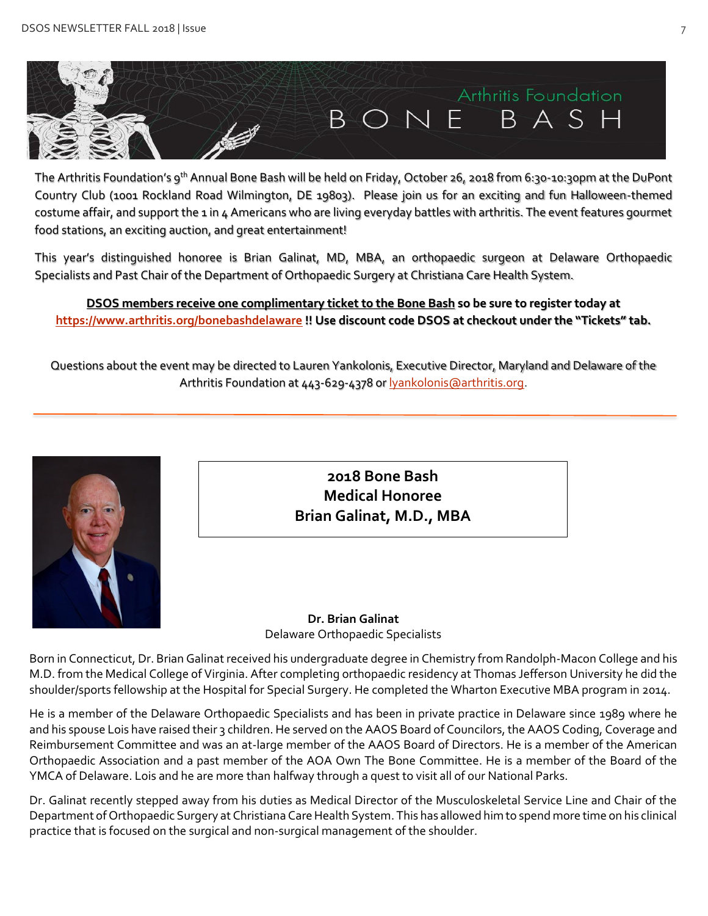

The Arthritis Foundation's 9<sup>th</sup> Annual Bone Bash will be held on Friday, October 26, 2018 from 6:30-10:30pm at the DuPont Country Club (1001 Rockland Road Wilmington, DE 19803). Please join us for an exciting and fun Halloween-themed costume affair, and support the 1 in 4 Americans who are living everyday battles with arthritis. The event features gourmet food stations, an exciting auction, and great entertainment!

This year's distinguished honoree is Brian Galinat, MD, MBA, an orthopaedic surgeon at Delaware Orthopaedic Specialists and Past Chair of the Department of Orthopaedic Surgery at Christiana Care Health System.

**DSOS members receive one complimentary ticket to the Bone Bash so be sure to register today at <https://www.arthritis.org/bonebashdelaware> !! Use discount code DSOS at checkout under the "Tickets" tab.**

Questions about the event may be directed to Lauren Yankolonis, Executive Director, Maryland and Delaware of the Arthritis Foundation at 443-629-4378 or **lyankolonis@arthritis.org**.



**2018 Bone Bash Medical Honoree Brian Galinat, M.D., MBA**

**Dr. Brian Galinat** Delaware Orthopaedic Specialists

Born in Connecticut, Dr. Brian Galinat received his undergraduate degree in Chemistry from Randolph-Macon College and his M.D. from the Medical College of Virginia. After completing orthopaedic residency at Thomas Jefferson University he did the shoulder/sports fellowship at the Hospital for Special Surgery. He completed the Wharton Executive MBA program in 2014.

He is a member of the Delaware Orthopaedic Specialists and has been in private practice in Delaware since 1989 where he and his spouse Lois have raised their 3 children. He served on the AAOS Board of Councilors, the AAOS Coding, Coverage and Reimbursement Committee and was an at-large member of the AAOS Board of Directors. He is a member of the American Orthopaedic Association and a past member of the AOA Own The Bone Committee. He is a member of the Board of the YMCA of Delaware. Lois and he are more than halfway through a quest to visit all of our National Parks.

Dr. Galinat recently stepped away from his duties as Medical Director of the Musculoskeletal Service Line and Chair of the Department of Orthopaedic Surgery at Christiana Care Health System. This has allowed him to spend more time on his clinical practice that is focused on the surgical and non-surgical management of the shoulder.